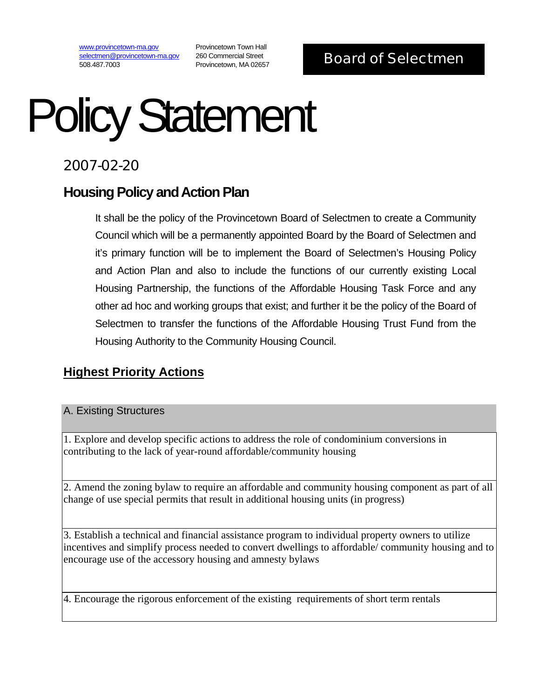www.provincetown-ma.gov selectmen@provincetown-ma.gov 508.487.7003

Provincetown Town Hall 260 Commercial Street

# Policy Statement

# 2007-02-20

# **Housing Policy and Action Plan**

It shall be the policy of the Provincetown Board of Selectmen to create a Community Council which will be a permanently appointed Board by the Board of Selectmen and it's primary function will be to implement the Board of Selectmen's Housing Policy and Action Plan and also to include the functions of our currently existing Local Housing Partnership, the functions of the Affordable Housing Task Force and any other ad hoc and working groups that exist; and further it be the policy of the Board of Selectmen to transfer the functions of the Affordable Housing Trust Fund from the Housing Authority to the Community Housing Council.

# **Highest Priority Actions**

## A. Existing Structures

1. Explore and develop specific actions to address the role of condominium conversions in contributing to the lack of year-round affordable/community housing

2. Amend the zoning bylaw to require an affordable and community housing component as part of all change of use special permits that result in additional housing units (in progress)

3. Establish a technical and financial assistance program to individual property owners to utilize incentives and simplify process needed to convert dwellings to affordable/ community housing and to encourage use of the accessory housing and amnesty bylaws

4. Encourage the rigorous enforcement of the existing requirements of short term rentals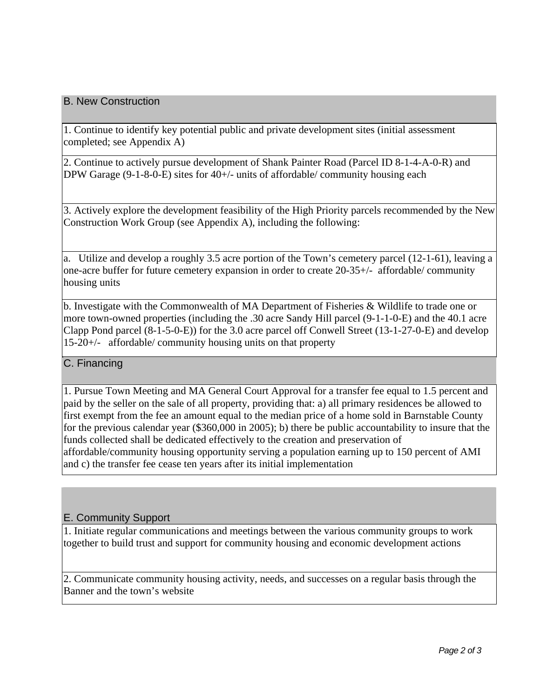## B. New Construction

1. Continue to identify key potential public and private development sites (initial assessment completed; see Appendix A)

2. Continue to actively pursue development of Shank Painter Road (Parcel ID 8-1-4-A-0-R) and DPW Garage (9-1-8-0-E) sites for 40+/- units of affordable/ community housing each

3. Actively explore the development feasibility of the High Priority parcels recommended by the New Construction Work Group (see Appendix A), including the following:

a. Utilize and develop a roughly 3.5 acre portion of the Town's cemetery parcel (12-1-61), leaving a one-acre buffer for future cemetery expansion in order to create 20-35+/- affordable/ community housing units

b. Investigate with the Commonwealth of MA Department of Fisheries & Wildlife to trade one or more town-owned properties (including the .30 acre Sandy Hill parcel (9-1-1-0-E) and the 40.1 acre Clapp Pond parcel (8-1-5-0-E)) for the 3.0 acre parcel off Conwell Street (13-1-27-0-E) and develop 15-20+/- affordable/ community housing units on that property

C. Financing

1. Pursue Town Meeting and MA General Court Approval for a transfer fee equal to 1.5 percent and paid by the seller on the sale of all property, providing that: a) all primary residences be allowed to first exempt from the fee an amount equal to the median price of a home sold in Barnstable County for the previous calendar year (\$360,000 in 2005); b) there be public accountability to insure that the funds collected shall be dedicated effectively to the creation and preservation of affordable/community housing opportunity serving a population earning up to 150 percent of AMI and c) the transfer fee cease ten years after its initial implementation

#### E. Community Support

1. Initiate regular communications and meetings between the various community groups to work together to build trust and support for community housing and economic development actions

2. Communicate community housing activity, needs, and successes on a regular basis through the Banner and the town's website